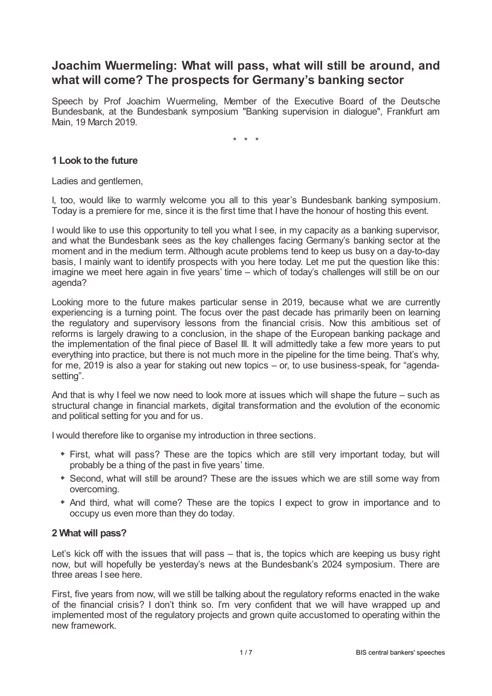# **Joachim Wuermeling: What will pass, what will still be around, and what will come? The prospects for Germany's banking sector**

Speech by Prof Joachim Wuermeling, Member of the Executive Board of the Deutsche Bundesbank, at the Bundesbank symposium "Banking supervision in dialogue", Frankfurt am Main, 19 March 2019.

\* \* \*

# **1 Look to the future**

Ladies and gentlemen,

I, too, would like to warmly welcome you all to this year's Bundesbank banking symposium. Today is a premiere for me, since it is the first time that I have the honour of hosting this event.

I would like to use this opportunity to tell you what I see, in my capacity as a banking supervisor, and what the Bundesbank sees as the key challenges facing Germany's banking sector at the moment and in the medium term. Although acute problems tend to keep us busy on a day-to-day basis, I mainly want to identify prospects with you here today. Let me put the question like this: imagine we meet here again in five years' time – which of today's challenges will still be on our agenda?

Looking more to the future makes particular sense in 2019, because what we are currently experiencing is a turning point. The focus over the past decade has primarily been on learning the regulatory and supervisory lessons from the financial crisis. Now this ambitious set of reforms is largely drawing to a conclusion, in the shape of the European banking package and the implementation of the final piece of Basel III. It will admittedly take a few more years to put everything into practice, but there is not much more in the pipeline for the time being. That's why, for me, 2019 is also a year for staking out new topics – or, to use business-speak, for "agendasetting".

And that is why I feel we now need to look more at issues which will shape the future – such as structural change in financial markets, digital transformation and the evolution of the economic and political setting for you and for us.

I would therefore like to organise my introduction in three sections.

- First, what will pass? These are the topics which are still very important today, but will probably be a thing of the past in five years' time.
- \* Second, what will still be around? These are the issues which we are still some way from overcoming.
- And third, what will come? These are the topics I expect to grow in importance and to occupy us even more than they do today.

## **2 What will pass?**

Let's kick off with the issues that will pass – that is, the topics which are keeping us busy right now, but will hopefully be yesterday's news at the Bundesbank's 2024 symposium. There are three areas I see here.

First, five years from now, will we still be talking about the regulatory reforms enacted in the wake of the financial crisis? I don't think so. I'm very confident that we will have wrapped up and implemented most of the regulatory projects and grown quite accustomed to operating within the new framework.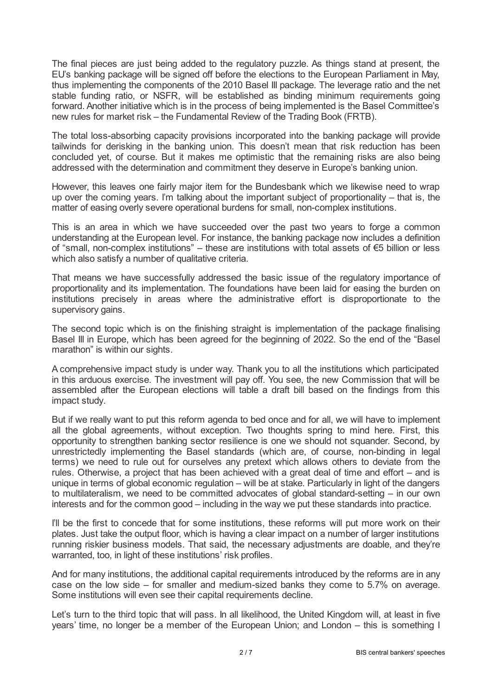The final pieces are just being added to the regulatory puzzle. As things stand at present, the EU's banking package will be signed off before the elections to the European Parliament in May, thus implementing the components of the 2010 Basel III package. The leverage ratio and the net stable funding ratio, or NSFR, will be established as binding minimum requirements going forward. Another initiative which is in the process of being implemented is the Basel Committee's new rules for market risk – the Fundamental Review of the Trading Book (FRTB).

The total loss-absorbing capacity provisions incorporated into the banking package will provide tailwinds for derisking in the banking union. This doesn't mean that risk reduction has been concluded yet, of course. But it makes me optimistic that the remaining risks are also being addressed with the determination and commitment they deserve in Europe's banking union.

However, this leaves one fairly major item for the Bundesbank which we likewise need to wrap up over the coming years. I'm talking about the important subject of proportionality – that is, the matter of easing overly severe operational burdens for small, non-complex institutions.

This is an area in which we have succeeded over the past two years to forge a common understanding at the European level. For instance, the banking package now includes a definition of "small, non-complex institutions" – these are institutions with total assets of €5 billion or less which also satisfy a number of qualitative criteria.

That means we have successfully addressed the basic issue of the regulatory importance of proportionality and its implementation. The foundations have been laid for easing the burden on institutions precisely in areas where the administrative effort is disproportionate to the supervisory gains.

The second topic which is on the finishing straight is implementation of the package finalising Basel III in Europe, which has been agreed for the beginning of 2022. So the end of the "Basel marathon" is within our sights.

A comprehensive impact study is under way. Thank you to all the institutions which participated in this arduous exercise. The investment will pay off. You see, the new Commission that will be assembled after the European elections will table a draft bill based on the findings from this impact study.

But if we really want to put this reform agenda to bed once and for all, we will have to implement all the global agreements, without exception. Two thoughts spring to mind here. First, this opportunity to strengthen banking sector resilience is one we should not squander. Second, by unrestrictedly implementing the Basel standards (which are, of course, non-binding in legal terms) we need to rule out for ourselves any pretext which allows others to deviate from the rules. Otherwise, a project that has been achieved with a great deal of time and effort – and is unique in terms of global economic regulation – will be at stake. Particularly in light of the dangers to multilateralism, we need to be committed advocates of global standard-setting – in our own interests and for the common good – including in the way we put these standards into practice.

I'll be the first to concede that for some institutions, these reforms will put more work on their plates. Just take the output floor, which is having a clear impact on a number of larger institutions running riskier business models. That said, the necessary adjustments are doable, and they're warranted, too, in light of these institutions' risk profiles.

And for many institutions, the additional capital requirements introduced by the reforms are in any case on the low side – for smaller and medium-sized banks they come to 5.7% on average. Some institutions will even see their capital requirements decline.

Let's turn to the third topic that will pass. In all likelihood, the United Kingdom will, at least in five years' time, no longer be a member of the European Union; and London – this is something I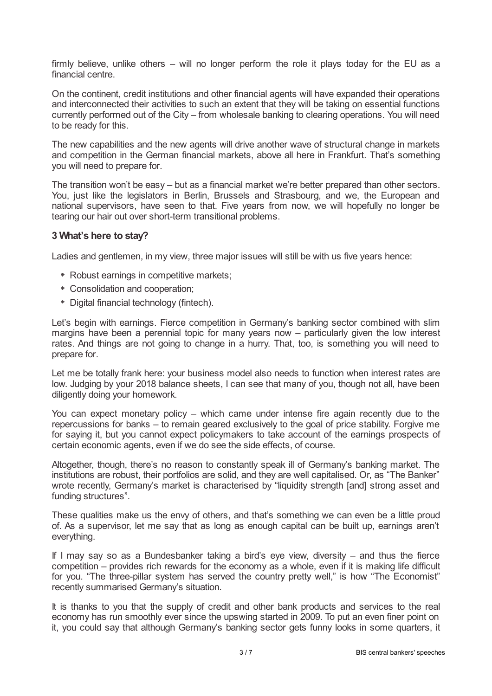firmly believe, unlike others – will no longer perform the role it plays today for the EU as a financial centre.

On the continent, credit institutions and other financial agents will have expanded their operations and interconnected their activities to such an extent that they will be taking on essential functions currently performed out of the City – from wholesale banking to clearing operations. You will need to be ready for this.

The new capabilities and the new agents will drive another wave of structural change in markets and competition in the German financial markets, above all here in Frankfurt. That's something you will need to prepare for.

The transition won't be easy – but as a financial market we're better prepared than other sectors. You, just like the legislators in Berlin, Brussels and Strasbourg, and we, the European and national supervisors, have seen to that. Five years from now, we will hopefully no longer be tearing our hair out over short-term transitional problems.

### **3 What's here to stay?**

Ladies and gentlemen, in my view, three major issues will still be with us five years hence:

- Robust earnings in competitive markets;
- Consolidation and cooperation;
- Digital financial technology (fintech).

Let's begin with earnings. Fierce competition in Germany's banking sector combined with slim margins have been a perennial topic for many years now – particularly given the low interest rates. And things are not going to change in a hurry. That, too, is something you will need to prepare for.

Let me be totally frank here: your business model also needs to function when interest rates are low. Judging by your 2018 balance sheets, I can see that many of you, though not all, have been diligently doing your homework.

You can expect monetary policy – which came under intense fire again recently due to the repercussions for banks – to remain geared exclusively to the goal of price stability. Forgive me for saying it, but you cannot expect policymakers to take account of the earnings prospects of certain economic agents, even if we do see the side effects, of course.

Altogether, though, there's no reason to constantly speak ill of Germany's banking market. The institutions are robust, their portfolios are solid, and they are well capitalised. Or, as "The Banker" wrote recently, Germany's market is characterised by "liquidity strength [and] strong asset and funding structures".

These qualities make us the envy of others, and that's something we can even be a little proud of. As a supervisor, let me say that as long as enough capital can be built up, earnings aren't everything.

If I may say so as a Bundesbanker taking a bird's eye view, diversity – and thus the fierce competition – provides rich rewards for the economy as a whole, even if it is making life difficult for you. "The three-pillar system has served the country pretty well," is how "The Economist" recently summarised Germany's situation.

It is thanks to you that the supply of credit and other bank products and services to the real economy has run smoothly ever since the upswing started in 2009. To put an even finer point on it, you could say that although Germany's banking sector gets funny looks in some quarters, it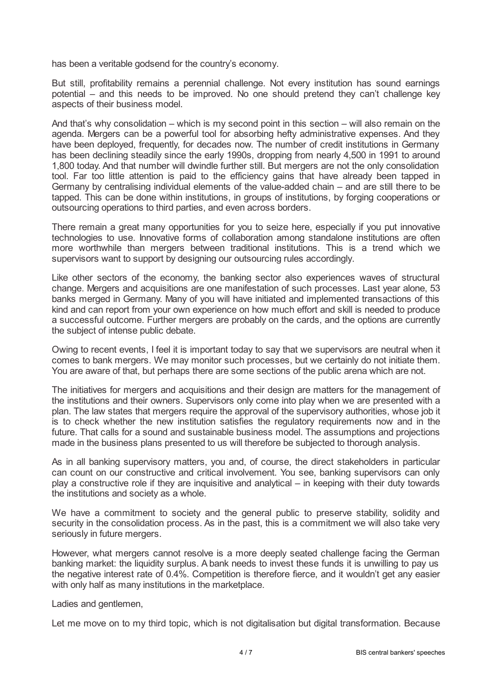has been a veritable godsend for the country's economy.

But still, profitability remains a perennial challenge. Not every institution has sound earnings potential – and this needs to be improved. No one should pretend they can't challenge key aspects of their business model.

And that's why consolidation – which is my second point in this section – will also remain on the agenda. Mergers can be a powerful tool for absorbing hefty administrative expenses. And they have been deployed, frequently, for decades now. The number of credit institutions in Germany has been declining steadily since the early 1990s, dropping from nearly 4,500 in 1991 to around 1,800 today. And that number will dwindle further still. But mergers are not the only consolidation tool. Far too little attention is paid to the efficiency gains that have already been tapped in Germany by centralising individual elements of the value-added chain – and are still there to be tapped. This can be done within institutions, in groups of institutions, by forging cooperations or outsourcing operations to third parties, and even across borders.

There remain a great many opportunities for you to seize here, especially if you put innovative technologies to use. Innovative forms of collaboration among standalone institutions are often more worthwhile than mergers between traditional institutions. This is a trend which we supervisors want to support by designing our outsourcing rules accordingly.

Like other sectors of the economy, the banking sector also experiences waves of structural change. Mergers and acquisitions are one manifestation of such processes. Last year alone, 53 banks merged in Germany. Many of you will have initiated and implemented transactions of this kind and can report from your own experience on how much effort and skill is needed to produce a successful outcome. Further mergers are probably on the cards, and the options are currently the subject of intense public debate.

Owing to recent events, I feel it is important today to say that we supervisors are neutral when it comes to bank mergers. We may monitor such processes, but we certainly do not initiate them. You are aware of that, but perhaps there are some sections of the public arena which are not.

The initiatives for mergers and acquisitions and their design are matters for the management of the institutions and their owners. Supervisors only come into play when we are presented with a plan. The law states that mergers require the approval of the supervisory authorities, whose job it is to check whether the new institution satisfies the regulatory requirements now and in the future. That calls for a sound and sustainable business model. The assumptions and projections made in the business plans presented to us will therefore be subjected to thorough analysis.

As in all banking supervisory matters, you and, of course, the direct stakeholders in particular can count on our constructive and critical involvement. You see, banking supervisors can only play a constructive role if they are inquisitive and analytical – in keeping with their duty towards the institutions and society as a whole.

We have a commitment to society and the general public to preserve stability, solidity and security in the consolidation process. As in the past, this is a commitment we will also take very seriously in future mergers.

However, what mergers cannot resolve is a more deeply seated challenge facing the German banking market: the liquidity surplus. A bank needs to invest these funds it is unwilling to pay us the negative interest rate of 0.4%. Competition is therefore fierce, and it wouldn't get any easier with only half as many institutions in the marketplace.

#### Ladies and gentlemen,

Let me move on to my third topic, which is not digitalisation but digital transformation. Because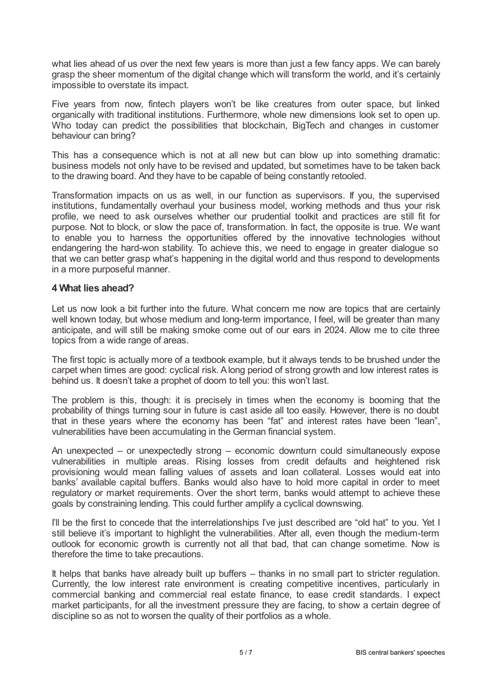what lies ahead of us over the next few years is more than just a few fancy apps. We can barely grasp the sheer momentum of the digital change which will transform the world, and it's certainly impossible to overstate its impact.

Five years from now, fintech players won't be like creatures from outer space, but linked organically with traditional institutions. Furthermore, whole new dimensions look set to open up. Who today can predict the possibilities that blockchain, BigTech and changes in customer behaviour can bring?

This has a consequence which is not at all new but can blow up into something dramatic: business models not only have to be revised and updated, but sometimes have to be taken back to the drawing board. And they have to be capable of being constantly retooled.

Transformation impacts on us as well, in our function as supervisors. If you, the supervised institutions, fundamentally overhaul your business model, working methods and thus your risk profile, we need to ask ourselves whether our prudential toolkit and practices are still fit for purpose. Not to block, or slow the pace of, transformation. In fact, the opposite is true. We want to enable you to harness the opportunities offered by the innovative technologies without endangering the hard-won stability. To achieve this, we need to engage in greater dialogue so that we can better grasp what's happening in the digital world and thus respond to developments in a more purposeful manner.

#### **4 What lies ahead?**

Let us now look a bit further into the future. What concern me now are topics that are certainly well known today, but whose medium and long-term importance, I feel, will be greater than many anticipate, and will still be making smoke come out of our ears in 2024. Allow me to cite three topics from a wide range of areas.

The first topic is actually more of a textbook example, but it always tends to be brushed under the carpet when times are good: cyclical risk. Along period of strong growth and low interest rates is behind us. It doesn't take a prophet of doom to tell you: this won't last.

The problem is this, though: it is precisely in times when the economy is booming that the probability of things turning sour in future is cast aside all too easily. However, there is no doubt that in these years where the economy has been "fat" and interest rates have been "lean", vulnerabilities have been accumulating in the German financial system.

An unexpected – or unexpectedly strong – economic downturn could simultaneously expose vulnerabilities in multiple areas. Rising losses from credit defaults and heightened risk provisioning would mean falling values of assets and loan collateral. Losses would eat into banks' available capital buffers. Banks would also have to hold more capital in order to meet regulatory or market requirements. Over the short term, banks would attempt to achieve these goals by constraining lending. This could further amplify a cyclical downswing.

I'll be the first to concede that the interrelationships I've just described are "old hat" to you. Yet I still believe it's important to highlight the vulnerabilities. After all, even though the medium-term outlook for economic growth is currently not all that bad, that can change sometime. Now is therefore the time to take precautions.

It helps that banks have already built up buffers – thanks in no small part to stricter regulation. Currently, the low interest rate environment is creating competitive incentives, particularly in commercial banking and commercial real estate finance, to ease credit standards. I expect market participants, for all the investment pressure they are facing, to show a certain degree of discipline so as not to worsen the quality of their portfolios as a whole.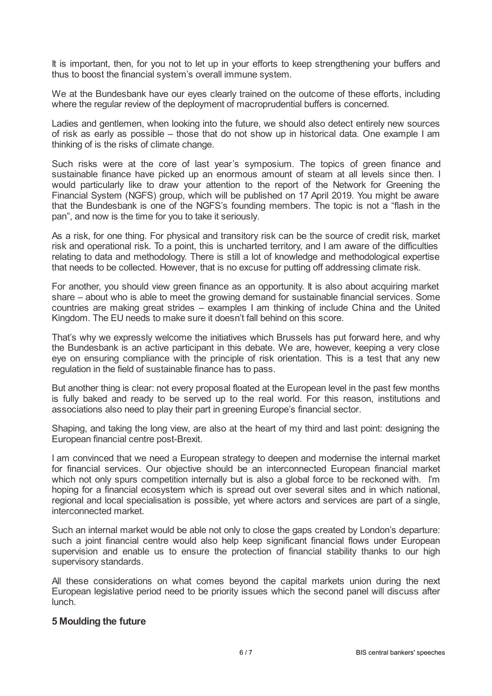It is important, then, for you not to let up in your efforts to keep strengthening your buffers and thus to boost the financial system's overall immune system.

We at the Bundesbank have our eyes clearly trained on the outcome of these efforts, including where the regular review of the deployment of macroprudential buffers is concerned.

Ladies and gentlemen, when looking into the future, we should also detect entirely new sources of risk as early as possible – those that do not show up in historical data. One example I am thinking of is the risks of climate change.

Such risks were at the core of last year's symposium. The topics of green finance and sustainable finance have picked up an enormous amount of steam at all levels since then. I would particularly like to draw your attention to the report of the Network for Greening the Financial System (NGFS) group, which will be published on 17 April 2019. You might be aware that the Bundesbank is one of the NGFS's founding members. The topic is not a "flash in the pan", and now is the time for you to take it seriously.

As a risk, for one thing. For physical and transitory risk can be the source of credit risk, market risk and operational risk. To a point, this is uncharted territory, and I am aware of the difficulties relating to data and methodology. There is still a lot of knowledge and methodological expertise that needs to be collected. However, that is no excuse for putting off addressing climate risk.

For another, you should view green finance as an opportunity. It is also about acquiring market share – about who is able to meet the growing demand for sustainable financial services. Some countries are making great strides – examples I am thinking of include China and the United Kingdom. The EU needs to make sure it doesn't fall behind on this score.

That's why we expressly welcome the initiatives which Brussels has put forward here, and why the Bundesbank is an active participant in this debate. We are, however, keeping a very close eye on ensuring compliance with the principle of risk orientation. This is a test that any new regulation in the field of sustainable finance has to pass.

But another thing is clear: not every proposal floated at the European level in the past few months is fully baked and ready to be served up to the real world. For this reason, institutions and associations also need to play their part in greening Europe's financial sector.

Shaping, and taking the long view, are also at the heart of my third and last point: designing the European financial centre post-Brexit.

I am convinced that we need a European strategy to deepen and modernise the internal market for financial services. Our objective should be an interconnected European financial market which not only spurs competition internally but is also a global force to be reckoned with. I'm hoping for a financial ecosystem which is spread out over several sites and in which national, regional and local specialisation is possible, yet where actors and services are part of a single, interconnected market.

Such an internal market would be able not only to close the gaps created by London's departure: such a joint financial centre would also help keep significant financial flows under European supervision and enable us to ensure the protection of financial stability thanks to our high supervisory standards.

All these considerations on what comes beyond the capital markets union during the next European legislative period need to be priority issues which the second panel will discuss after lunch.

#### **5 Moulding the future**